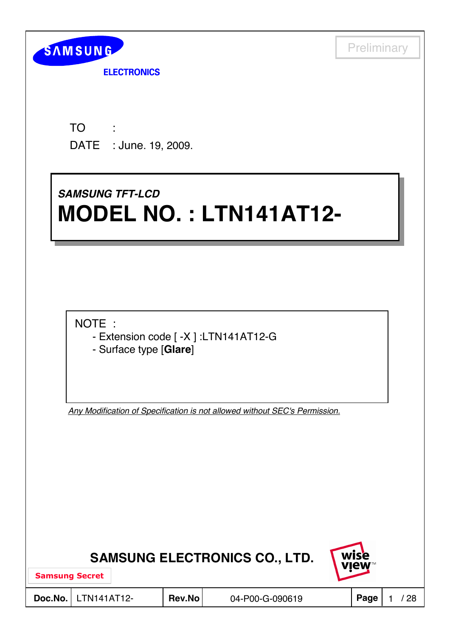

**ELECTRONICS** 

TO DATE : June. 19, 2009. : 1995

# *SAMSUNG TFT-LCD SAMSUNG TFT-LCD* **MODEL NO. : LTN141AT12- MODEL NO. : LTN141AT12-**

NOTE :

- Extension code [ -X ] :LTN141AT12-G
- Surface type [**Glare**]

*Any Modification of Specification is not allowed without SEC's Permission.*

| <b>SAMSUNG ELECTRONICS CO., LTD.</b> |  |  |
|--------------------------------------|--|--|
|--------------------------------------|--|--|



Samsung Secret

**Doc.No.** LTN141AT12- Rev.No 04-P00-G-090619 Page 1 / 28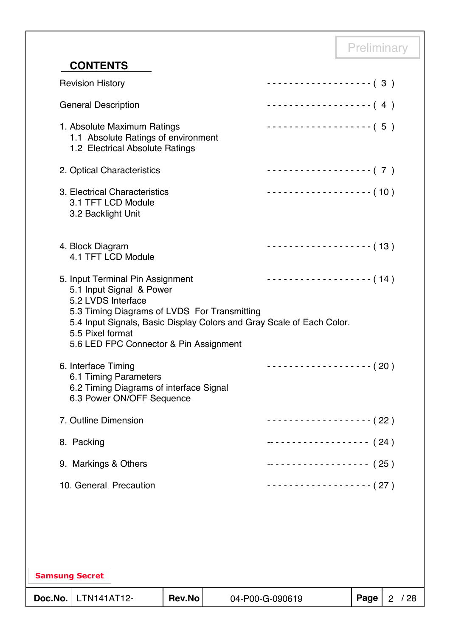## **CONTENTS**

| Doc.No.               | LTN141AT12-                            |                                                                                                       | <b>Rev.No</b> |                                              | 04-P00-G-090619                                                       | Page | 2 / 28 |
|-----------------------|----------------------------------------|-------------------------------------------------------------------------------------------------------|---------------|----------------------------------------------|-----------------------------------------------------------------------|------|--------|
| <b>Samsung Secret</b> |                                        |                                                                                                       |               |                                              |                                                                       |      |        |
|                       |                                        |                                                                                                       |               |                                              |                                                                       |      |        |
|                       |                                        | 10. General Precaution                                                                                |               |                                              | -------------------- (27)                                             |      |        |
|                       | 9. Markings & Others                   |                                                                                                       |               |                                              | ------------------- (25)                                              |      |        |
|                       | 8. Packing                             |                                                                                                       |               |                                              | $---------------- (24)$                                               |      |        |
|                       | 7. Outline Dimension                   |                                                                                                       |               |                                              | $-----------(22)$                                                     |      |        |
|                       | 6. Interface Timing                    | 6.1 Timing Parameters<br>6.2 Timing Diagrams of interface Signal<br>6.3 Power ON/OFF Sequence         |               |                                              | $------------(20)$                                                    |      |        |
|                       | 5.2 LVDS Interface<br>5.5 Pixel format | 5.1 Input Signal & Power<br>5.6 LED FPC Connector & Pin Assignment                                    |               | 5.3 Timing Diagrams of LVDS For Transmitting | 5.4 Input Signals, Basic Display Colors and Gray Scale of Each Color. |      |        |
|                       | 4. Block Diagram                       | 4.1 TFT LCD Module<br>5. Input Terminal Pin Assignment                                                |               |                                              | $------------(13)$<br>$------------(14)$                              |      |        |
|                       | 3.2 Backlight Unit                     | 3. Electrical Characteristics<br>3.1 TFT LCD Module                                                   |               |                                              | $\cdots \cdots \cdots \cdots \cdots \cdots \cdots (10)$               |      |        |
|                       |                                        | 2. Optical Characteristics                                                                            |               |                                              | -------------------- (7)                                              |      |        |
|                       |                                        | 1. Absolute Maximum Ratings<br>1.1 Absolute Ratings of environment<br>1.2 Electrical Absolute Ratings |               |                                              | $\cdots$ (5)                                                          |      |        |
|                       | <b>General Description</b>             |                                                                                                       |               |                                              | ------------------- (4)                                               |      |        |
|                       | <b>Revision History</b>                |                                                                                                       |               |                                              | ------------------- (3)                                               |      |        |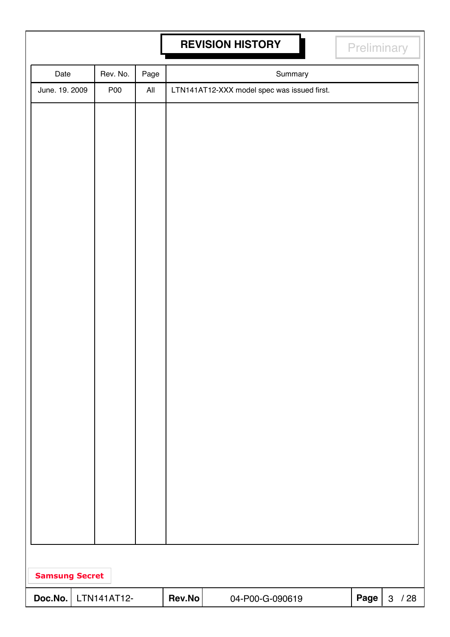# **REVISION HISTORY REVISION HISTORY**

| Date                  | Rev. No.    | Page           |        |                                             | Summary |      |          |
|-----------------------|-------------|----------------|--------|---------------------------------------------|---------|------|----------|
| June. 19. 2009        | <b>P00</b>  | $\mathsf{All}$ |        | LTN141AT12-XXX model spec was issued first. |         |      |          |
|                       |             |                |        |                                             |         |      |          |
|                       |             |                |        |                                             |         |      |          |
|                       |             |                |        |                                             |         |      |          |
|                       |             |                |        |                                             |         |      |          |
|                       |             |                |        |                                             |         |      |          |
|                       |             |                |        |                                             |         |      |          |
|                       |             |                |        |                                             |         |      |          |
|                       |             |                |        |                                             |         |      |          |
|                       |             |                |        |                                             |         |      |          |
|                       |             |                |        |                                             |         |      |          |
|                       |             |                |        |                                             |         |      |          |
|                       |             |                |        |                                             |         |      |          |
|                       |             |                |        |                                             |         |      |          |
|                       |             |                |        |                                             |         |      |          |
|                       |             |                |        |                                             |         |      |          |
|                       |             |                |        |                                             |         |      |          |
|                       |             |                |        |                                             |         |      |          |
|                       |             |                |        |                                             |         |      |          |
|                       |             |                |        |                                             |         |      |          |
|                       |             |                |        |                                             |         |      |          |
|                       |             |                |        |                                             |         |      |          |
|                       |             |                |        |                                             |         |      |          |
|                       |             |                |        |                                             |         |      |          |
|                       |             |                |        |                                             |         |      |          |
|                       |             |                |        |                                             |         |      |          |
| <b>Samsung Secret</b> |             |                |        |                                             |         |      |          |
| Doc.No.               | LTN141AT12- |                | Rev.No | 04-P00-G-090619                             |         | Page | $3 / 28$ |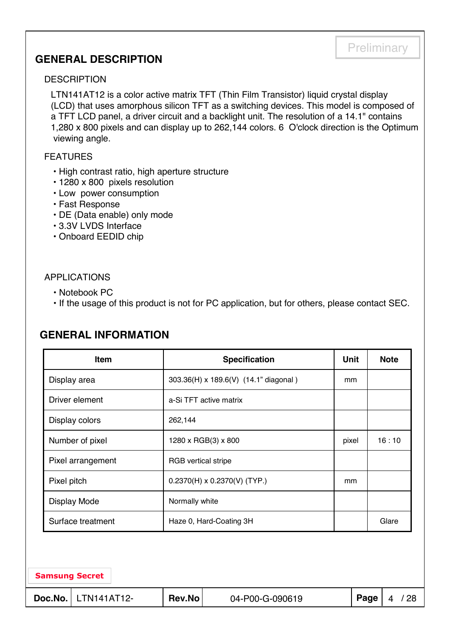### **GENERAL DESCRIPTION**

#### **DESCRIPTION**

LTN141AT12 is a color active matrix TFT (Thin Film Transistor) liquid crystal display (LCD) that uses amorphous silicon TFT as a switching devices. This model is composed of a TFT LCD panel, a driver circuit and a backlight unit. The resolution of a 14.1" contains 1,280 x 800 pixels and can display up to 262,144 colors. 6 O'clock direction is the Optimum viewing angle.

#### FEATURES

- High contrast ratio, high aperture structure
- 1280 x 800 pixels resolution
- Low power consumption
- Fast Response
- DE (Data enable) only mode
- 3.3V LVDS Interface
- Onboard EEDID chip

#### APPLICATIONS

- Notebook PC
- If the usage of this product is not for PC application, but for others, please contact SEC.

# Samsung Secret Surface treatment | Haze 0, Hard-Coating 3H | Glare Display Mode Normally white Pixel pitch  $| 0.2370(H) \times 0.2370(V)$  (TYP.) mm Pixel arrangement RGB vertical stripe Number of pixel  $|1280 \times RGB(3) \times 800$  | pixel 16 : 10 Display colors 262,144 Driver element a-Si TFT active matrix Display area  $\vert$  303.36(H) x 189.6(V) (14.1" diagonal ) mm **Item Specification Unit Note**

### **GENERAL INFORMATION**

**Doc.No.** LTN141AT12- Rev.No 04-P00-G-090619 Page 4 / 28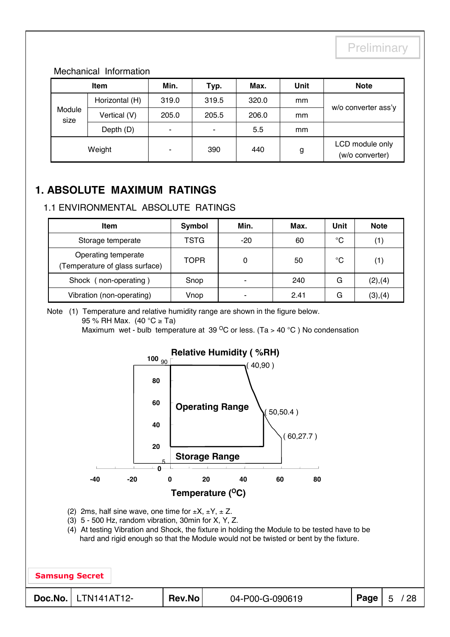#### Mechanical Information

| <b>Item</b>    |                | Min.                     | Typ.           | Max.  | Unit | <b>Note</b>                        |  |
|----------------|----------------|--------------------------|----------------|-------|------|------------------------------------|--|
|                | Horizontal (H) | 319.0                    | 319.5          | 320.0 | mm   |                                    |  |
| Module<br>size | Vertical (V)   | 205.0                    | 205.5          | 206.0 | mm   | w/o converter ass'y                |  |
|                | Depth (D)      | $\overline{\phantom{a}}$ | $\blacksquare$ | 5.5   | mm   |                                    |  |
| Weight         |                | -                        | 390            | 440   | g    | LCD module only<br>(w/o converter) |  |

### **1. ABSOLUTE MAXIMUM RATINGS**

#### 1.1 ENVIRONMENTAL ABSOLUTE RATINGS

| Item                                                 | Symbol      | Min.  | Max. | <b>Unit</b> | <b>Note</b> |
|------------------------------------------------------|-------------|-------|------|-------------|-------------|
| Storage temperate                                    | TSTG        | $-20$ | 60   | °C          |             |
| Operating temperate<br>Temperature of glass surface) | <b>TOPR</b> |       | 50   | °C          | (1)         |
| Shock (non-operating)                                | Snop        | -     | 240  | G           | (2), (4)    |
| Vibration (non-operating)                            | Vnop        | -     | 2.41 | G           | (3),(4)     |

Note (1) Temperature and relative humidity range are shown in the figure below.

95 % RH Max. (40 °C ≥ Ta)

Maximum wet - bulb temperature at 39  $\mathrm{^{\circ}C}$  or less. (Ta > 40  $\mathrm{^{\circ}C}$ ) No condensation

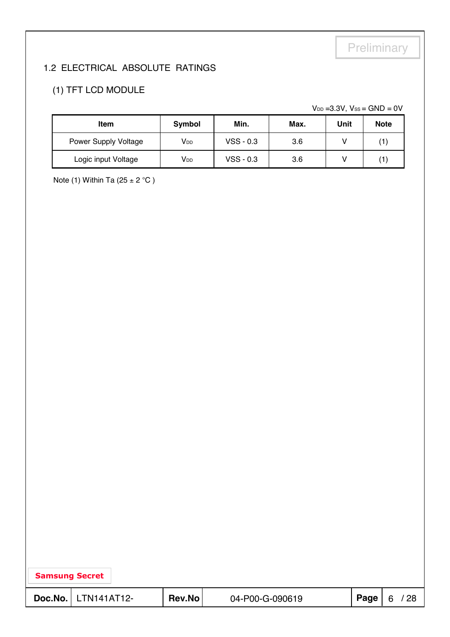### 1.2 ELECTRICAL ABSOLUTE RATINGS

### (1) TFT LCD MODULE

 $V_{DD}$  =3.3V,  $V_{SS}$  = GND = 0V

| <b>Item</b>                 | Symbol          | Min.        | Max. | Unit | <b>Note</b>  |
|-----------------------------|-----------------|-------------|------|------|--------------|
| <b>Power Supply Voltage</b> | V <sub>DD</sub> | $VSS - 0.3$ | 3.6  |      | 1            |
| Logic input Voltage         | V <sub>DD</sub> | $VSS - 0.3$ | 3.6  |      | $\mathbf{1}$ |

Note (1) Within Ta (25  $\pm$  2 °C)

| <b>Samsung Secret</b> |                         |        |                 |      |   |     |
|-----------------------|-------------------------|--------|-----------------|------|---|-----|
|                       | $Doc.No.   LTN141AT12-$ | Rev.No | 04-P00-G-090619 | Page | 6 | /28 |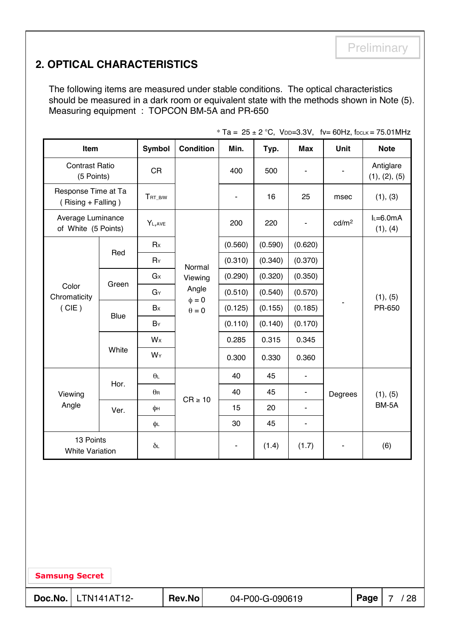# **2. OPTICAL CHARACTERISTICS**

The following items are measured under stable conditions. The optical characteristics should be measured in a dark room or equivalent state with the methods shown in Note (5). Measuring equipment : TOPCON BM-5A and PR-650

| Item                                      |             | <b>Symbol</b>    | <b>Condition</b>                         | Min.          | Typ.    | <b>Max</b>     | Unit              | <b>Note</b>                |  |
|-------------------------------------------|-------------|------------------|------------------------------------------|---------------|---------|----------------|-------------------|----------------------------|--|
| <b>Contrast Ratio</b><br>(5 Points)       |             | <b>CR</b>        |                                          | 400           | 500     | ۰              |                   | Antiglare<br>(1), (2), (5) |  |
| Response Time at Ta<br>(Rising + Falling) |             | TRT_B/W          |                                          | ä,            | 16      | 25             | msec              | (1), (3)                   |  |
| Average Luminance<br>of White (5 Points)  |             | YL, AVE          |                                          | 200           | 220     | $\blacksquare$ | cd/m <sup>2</sup> | $L=6.0mA$<br>(1), (4)      |  |
|                                           | Red         | Rx               |                                          | (0.560)       | (0.590) | (0.620)        |                   |                            |  |
| Color<br>Chromaticity<br>(CIE)            |             | $R_Y$            | Normal<br>Viewing<br>Angle<br>$\phi = 0$ | (0.310)       | (0.340) | (0.370)        |                   | (1), (5)<br>PR-650         |  |
|                                           | Green       | G <sub>x</sub>   |                                          | (0.290)       | (0.320) | (0.350)        |                   |                            |  |
|                                           |             | GY               |                                          | (0.510)       | (0.540) | (0.570)        |                   |                            |  |
|                                           | <b>Blue</b> | Bx               | $\theta=0$                               | (0.125)       | (0.155) | (0.185)        |                   |                            |  |
|                                           |             | BY               |                                          | (0.110)       | (0.140) | (0.170)        |                   |                            |  |
|                                           |             | Wx               |                                          | 0.285         | 0.315   | 0.345          |                   |                            |  |
|                                           | White       | WY               |                                          | 0.300         | 0.330   | 0.360          |                   |                            |  |
|                                           |             | $\theta$ L       |                                          | 40            | 45      |                |                   |                            |  |
| Viewing                                   | Hor.        | $\theta$ R       | $CR \ge 10$                              | 40            | 45      | $\blacksquare$ | Degrees           | (1), (5)                   |  |
| Angle                                     | Ver.        | φн               |                                          | 15            | 20      | $\blacksquare$ |                   | BM-5A                      |  |
|                                           |             | φL               |                                          | 30            | 45      | $\blacksquare$ |                   |                            |  |
| 13 Points<br><b>White Variation</b>       |             | $\delta\text{L}$ |                                          | $\frac{1}{2}$ | (1.4)   | (1.7)          |                   | (6)                        |  |

 $*$  To  $=$  25  $\pm$  2  $\degree$ C, V<sub>DD</sub> $=$ 3.3V, fut 60Hz, f<sub>DOLK</sub> = 75.01MHz

Samsung Secret

**Doc.No.** LTN141AT12- Rev.No 04-P00-G-090619 Page 7 / 28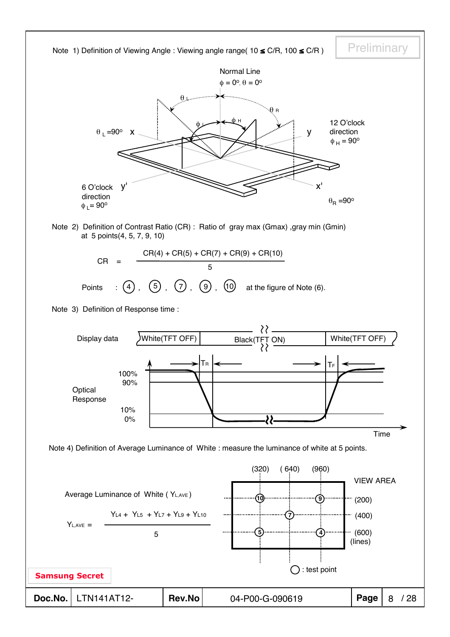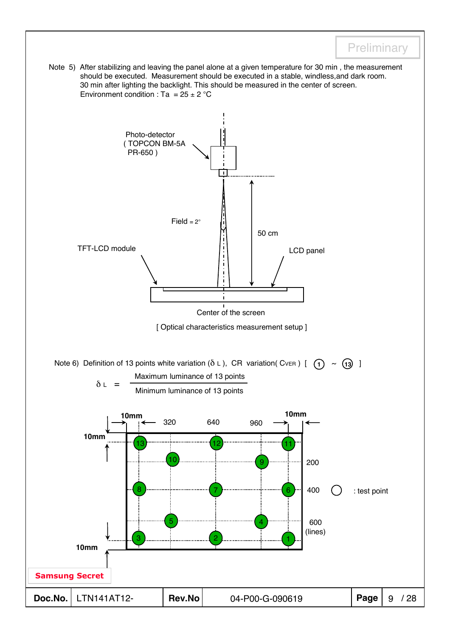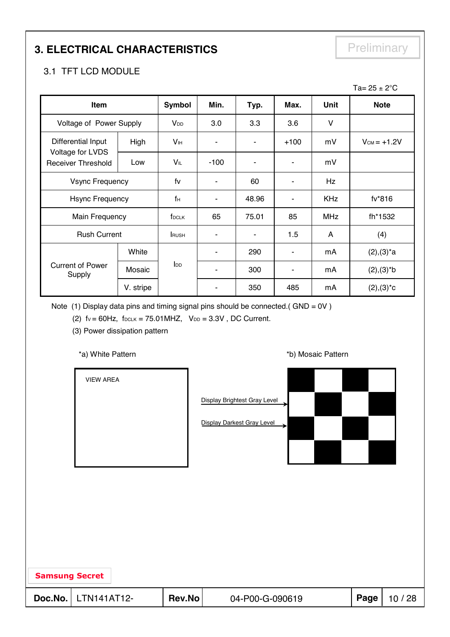# **3. ELECTRICAL CHARACTERISTICS** Preliminary

#### 3.1 TFT LCD MODULE

|                                                                     |           |                       |                |       |                          |             | Ta= $25 \pm 2^{\circ}$ C |
|---------------------------------------------------------------------|-----------|-----------------------|----------------|-------|--------------------------|-------------|--------------------------|
| Item                                                                |           | Symbol                | Min.           | Typ.  | Max.                     | <b>Unit</b> | <b>Note</b>              |
| Voltage of Power Supply                                             |           | V <sub>DD</sub>       | 3.0            | 3.3   | 3.6                      | V           |                          |
| Differential Input<br>Voltage for LVDS<br><b>Receiver Threshold</b> | High      | <b>V<sub>IH</sub></b> | ۰              |       | $+100$                   | mV          | $V_{CM} = +1.2V$         |
|                                                                     | Low       | VĩL                   | $-100$         |       | ۰                        | mV          |                          |
| <b>Vsync Frequency</b>                                              |           | fv                    | ٠              | 60    | ۰                        | Hz          |                          |
| <b>Hsync Frequency</b>                                              |           | fн                    | $\blacksquare$ | 48.96 | ٠                        | <b>KHz</b>  | fv*816                   |
| Main Frequency                                                      |           | f <sub>DCLK</sub>     | 65             | 75.01 | 85                       | <b>MHz</b>  | fh*1532                  |
| <b>Rush Current</b>                                                 |           | <b>RUSH</b>           | ۰              | ۰     | 1.5                      | A           | (4)                      |
|                                                                     | White     |                       | ٠              | 290   | $\overline{\phantom{a}}$ | mA          | $(2), (3)^*a$            |
| <b>Current of Power</b><br>Supply                                   | Mosaic    | I <sub>DD</sub>       |                | 300   | ۰                        | mA          | $(2), (3)*b$             |
|                                                                     | V. stripe |                       |                | 350   | 485                      | mA          | $(2), (3)^{\star}c$      |

Note (1) Display data pins and timing signal pins should be connected.(  $GND = OV$  )

(2)  $fv = 60Hz$ ,  $f_{DCLK} = 75.01MHz$ ,  $V_{DD} = 3.3V$ , DC Current.

(3) Power dissipation pattern

\*a) White Pattern **\*b**) Mosaic Pattern **\*b**)

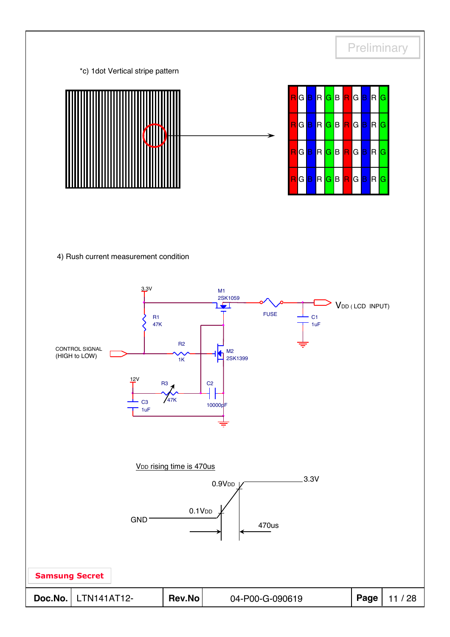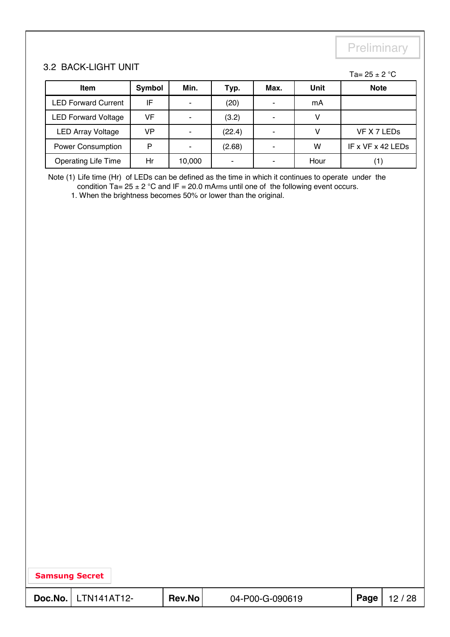#### 3.2 BACK-LIGHT UNIT

#### Ta=  $25 \pm 2$  °C

| <b>Item</b>                | Symbol | Min.                     | Typ.   | Max. | Unit | <b>Note</b>         |
|----------------------------|--------|--------------------------|--------|------|------|---------------------|
| <b>LED Forward Current</b> | IF     | $\overline{\phantom{0}}$ | (20)   |      | mA   |                     |
| <b>LED Forward Voltage</b> | VF     | $\overline{\phantom{0}}$ | (3.2)  |      |      |                     |
| <b>LED Array Voltage</b>   | VP     |                          | (22.4) |      |      | VF X 7 LEDs         |
| <b>Power Consumption</b>   | P      | $\overline{\phantom{0}}$ | (2.68) |      | w    | IF x $VF$ x 42 LEDs |
| <b>Operating Life Time</b> | Hr     | 10,000                   |        |      | Hour |                     |

Note (1) Life time (Hr) of LEDs can be defined as the time in which it continues to operate under the condition  $Ta = 25 \pm 2$  °C and IF = 20.0 mArms until one of the following event occurs.

1. When the brightness becomes 50% or lower than the original.

| <b>Samsung Secret</b> |                              |        |                 |      |       |
|-----------------------|------------------------------|--------|-----------------|------|-------|
|                       | <b>Doc.No.</b>   LTN141AT12- | Rev.No | 04-P00-G-090619 | Page | 12/28 |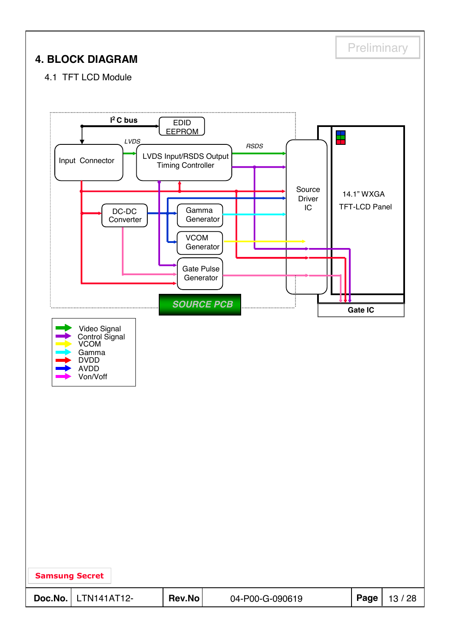| Preliminary<br><b>4. BLOCK DIAGRAM</b>                                                                                                                                                                                                                                                                                                                                                                                                             |  |
|----------------------------------------------------------------------------------------------------------------------------------------------------------------------------------------------------------------------------------------------------------------------------------------------------------------------------------------------------------------------------------------------------------------------------------------------------|--|
| 4.1 TFT LCD Module<br>$I2$ C bus<br><b>EDID</b><br><b>EEPROM</b><br>t<br>LVDS<br><b>RSDS</b><br>LVDS Input/RSDS Output<br>Input Connector<br><b>Timing Controller</b><br>Source<br>14.1" WXGA<br><b>Driver</b><br>TFT-LCD Panel<br>IC<br>Gamma<br>$DC-DC$<br>Generator<br>Converter<br><b>VCOM</b><br>Generator<br><b>Gate Pulse</b><br>Generator<br>$\mathbf{u}$<br><b>SOURCE PCB</b><br><b>Gate IC</b><br>Video Signal<br>Control Signal<br>VCOM |  |
| Gamma<br><b>DVDD</b><br><b>AVDD</b><br>Von/Voff                                                                                                                                                                                                                                                                                                                                                                                                    |  |
| <b>Samsung Secret</b><br>LTN141AT12-<br>Page<br>Doc.No.<br>Rev.No<br>13/28<br>04-P00-G-090619                                                                                                                                                                                                                                                                                                                                                      |  |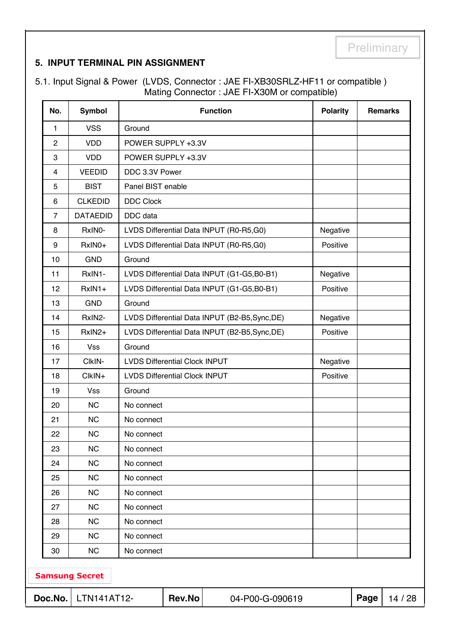#### **5. INPUT TERMINAL PIN ASSIGNMENT**

5.1. Input Signal & Power (LVDS, Connector : JAE FI-XB30SRLZ-HF11 or compatible ) Mating Connector : JAE FI-X30M or compatible)

| No.                     | <b>Symbol</b>         |                                                | <b>Function</b>                                | <b>Polarity</b> |      | <b>Remarks</b> |
|-------------------------|-----------------------|------------------------------------------------|------------------------------------------------|-----------------|------|----------------|
| $\mathbf{1}$            | <b>VSS</b>            | Ground                                         |                                                |                 |      |                |
| $\overline{2}$          | <b>VDD</b>            | POWER SUPPLY +3.3V                             |                                                |                 |      |                |
| 3                       | <b>VDD</b>            | POWER SUPPLY +3.3V                             |                                                |                 |      |                |
| $\overline{\mathbf{4}}$ | <b>VEEDID</b>         | DDC 3.3V Power                                 |                                                |                 |      |                |
| 5                       | <b>BIST</b>           | Panel BIST enable                              |                                                |                 |      |                |
| 6                       | <b>CLKEDID</b>        | <b>DDC Clock</b>                               |                                                |                 |      |                |
| $\overline{7}$          | <b>DATAEDID</b>       | DDC data                                       |                                                |                 |      |                |
| 8                       | RxINO-                | LVDS Differential Data INPUT (R0-R5,G0)        |                                                | Negative        |      |                |
| 9                       | RxIN0+                | LVDS Differential Data INPUT (R0-R5,G0)        |                                                | Positive        |      |                |
| 10                      | <b>GND</b>            | Ground                                         |                                                |                 |      |                |
| 11                      | RxIN1-                |                                                | LVDS Differential Data INPUT (G1-G5,B0-B1)     | Negative        |      |                |
| 12                      | RxIN1+                |                                                | LVDS Differential Data INPUT (G1-G5,B0-B1)     | Positive        |      |                |
| 13                      | <b>GND</b>            | Ground                                         |                                                |                 |      |                |
| 14                      | RxIN2-                |                                                | LVDS Differential Data INPUT (B2-B5, Sync, DE) | Negative        |      |                |
| 15                      | RxIN2+                | LVDS Differential Data INPUT (B2-B5, Sync, DE) | Positive                                       |                 |      |                |
| 16                      | <b>Vss</b>            | Ground                                         |                                                |                 |      |                |
| 17                      | CIkIN-                | <b>LVDS Differential Clock INPUT</b>           |                                                | Negative        |      |                |
| 18                      | ClkIN+                | <b>LVDS Differential Clock INPUT</b>           |                                                | Positive        |      |                |
| 19                      | <b>Vss</b>            | Ground                                         |                                                |                 |      |                |
| 20                      | NC                    | No connect                                     |                                                |                 |      |                |
| 21                      | <b>NC</b>             | No connect                                     |                                                |                 |      |                |
| 22                      | <b>NC</b>             | No connect                                     |                                                |                 |      |                |
| 23                      | NC                    | No connect                                     |                                                |                 |      |                |
| 24                      | <b>NC</b>             | No connect                                     |                                                |                 |      |                |
| 25                      | <b>NC</b>             | No connect                                     |                                                |                 |      |                |
| 26                      | <b>NC</b>             | No connect                                     |                                                |                 |      |                |
| 27                      | <b>NC</b>             | No connect                                     |                                                |                 |      |                |
| 28                      | NC                    | No connect                                     |                                                |                 |      |                |
| 29                      | <b>NC</b>             | No connect                                     |                                                |                 |      |                |
| 30                      | <b>NC</b>             | No connect                                     |                                                |                 |      |                |
|                         | <b>Samsung Secret</b> |                                                |                                                |                 |      |                |
| Doc.No.                 | LTN141AT12-           | Rev.No                                         | 04-P00-G-090619                                |                 | Page | 14 / 28        |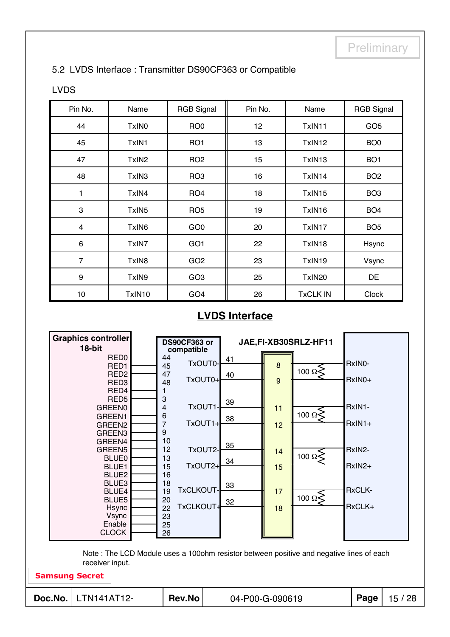#### 5.2 LVDS Interface : Transmitter DS90CF363 or Compatible

#### LVDS

| Pin No.        | Name              | <b>RGB Signal</b> | Pin No. | Name            | <b>RGB Signal</b> |
|----------------|-------------------|-------------------|---------|-----------------|-------------------|
| 44             | TxIN <sub>0</sub> | RO <sub>0</sub>   | 12      | TxIN11          | GO <sub>5</sub>   |
| 45             | TxIN1             | RO <sub>1</sub>   | 13      | TxIN12          | BO <sub>0</sub>   |
| 47             | TxIN <sub>2</sub> | RO <sub>2</sub>   | 15      | TxIN13          | BO <sub>1</sub>   |
| 48             | TxIN3             | RO <sub>3</sub>   | 16      | TxIN14          | BO <sub>2</sub>   |
| 1              | TxIN4             | RO <sub>4</sub>   | 18      | TxIN15          | BO <sub>3</sub>   |
| 3              | TxIN <sub>5</sub> | RO <sub>5</sub>   | 19      | TxIN16          | BO <sub>4</sub>   |
| 4              | TxIN6             | GO <sub>0</sub>   | 20      | TxIN17          | BO <sub>5</sub>   |
| 6              | TxIN7             | GO <sub>1</sub>   | 22      | TxIN18          | Hsync             |
| $\overline{7}$ | TxIN <sub>8</sub> | GO <sub>2</sub>   | 23      | TxIN19          | Vsync             |
| 9              | TxIN9             | GO <sub>3</sub>   | 25      | TxIN20          | DE                |
| 10             | TxIN10            | GO <sub>4</sub>   | 26      | <b>TxCLK IN</b> | Clock             |

### **LVDS Interface**

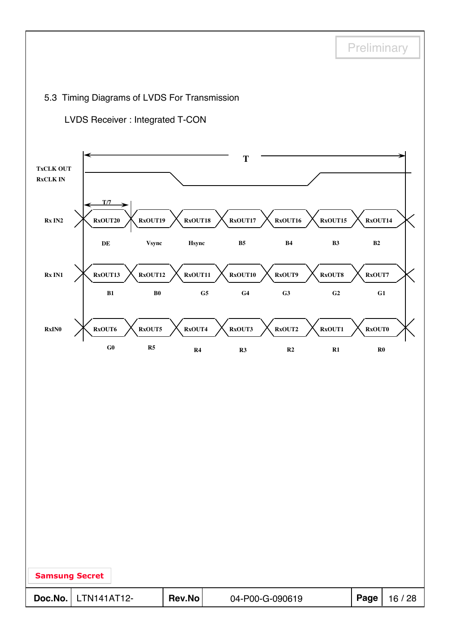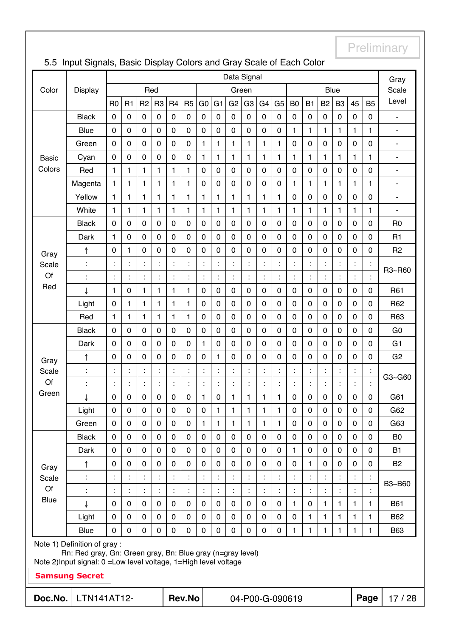|              | Data Signal                                                                                                                       |                  |                      |                      |                      |                      |                      |                      |                | Gray                 |                      |                      |                |                 |                |                      |                      |                      |                |                |
|--------------|-----------------------------------------------------------------------------------------------------------------------------------|------------------|----------------------|----------------------|----------------------|----------------------|----------------------|----------------------|----------------|----------------------|----------------------|----------------------|----------------|-----------------|----------------|----------------------|----------------------|----------------------|----------------|----------------|
| Color        | <b>Display</b>                                                                                                                    |                  |                      |                      | Red                  |                      |                      |                      |                |                      | Green                |                      |                |                 |                |                      | <b>Blue</b>          |                      |                | Scale          |
|              |                                                                                                                                   | R <sub>0</sub>   | R <sub>1</sub>       | R <sub>2</sub>       | R <sub>3</sub>       | R <sub>4</sub>       | R <sub>5</sub>       | G <sub>0</sub>       | G <sub>1</sub> | G <sub>2</sub>       | G <sub>3</sub>       | G <sub>4</sub>       | G <sub>5</sub> | B <sub>0</sub>  | B <sub>1</sub> | B <sub>2</sub>       | B <sub>3</sub>       | 45                   | B <sub>5</sub> | Level          |
|              | <b>Black</b>                                                                                                                      | $\pmb{0}$        | 0                    | $\mathbf 0$          | 0                    | $\pmb{0}$            | $\mathbf 0$          | $\mathsf 0$          | $\mathbf 0$    | 0                    | 0                    | 0                    | 0              | 0               | 0              | $\pmb{0}$            | $\boldsymbol{0}$     | $\pmb{0}$            | 0              | $\blacksquare$ |
|              | <b>Blue</b>                                                                                                                       | 0                | 0                    | $\mathbf 0$          | $\mathbf 0$          | 0                    | $\mathbf 0$          | $\mathbf 0$          | $\mathbf 0$    | 0                    | $\mathbf 0$          | $\mathbf 0$          | 0              | 1               | 1              | 1                    | 1                    | 1                    | 1              | ÷,             |
|              | Green                                                                                                                             | $\mathbf 0$      | 0                    | $\mathbf 0$          | 0                    | 0                    | 0                    | 1                    | $\mathbf{1}$   | 1                    | 1                    | 1                    | $\mathbf{1}$   | 0               | 0              | 0                    | $\mathbf 0$          | $\pmb{0}$            | 0              | $\blacksquare$ |
| <b>Basic</b> | Cyan                                                                                                                              | $\mathbf 0$      | 0                    | $\pmb{0}$            | 0                    | 0                    | $\pmb{0}$            | 1                    | $\mathbf{1}$   | 1                    | 1                    | 1                    | $\mathbf{1}$   | 1               | 1              | 1                    | 1                    | 1                    | $\mathbf{1}$   | ÷              |
| Colors       | Red                                                                                                                               | 1                | 1                    | 1                    | 1                    | 1                    | 1                    | 0                    | $\mathbf 0$    | 0                    | $\mathbf 0$          | 0                    | 0              | $\pmb{0}$       | 0              | $\pmb{0}$            | 0                    | $\pmb{0}$            | 0              | ۰              |
|              | Magenta                                                                                                                           | $\mathbf{1}$     | 1                    | $\mathbf{1}$         | 1                    | 1                    | 1                    | 0                    | $\mathbf 0$    | 0                    | $\mathbf 0$          | $\mathbf 0$          | 0              | 1               | 1              | 1                    | 1                    | $\mathbf{1}$         | $\mathbf{1}$   | ۰              |
|              | Yellow                                                                                                                            | 1                | 1                    | 1                    | 1                    | 1                    | 1                    | 1                    | $\mathbf{1}$   | 1                    | 1                    | 1                    | $\mathbf{1}$   | 0               | 0              | $\mathbf 0$          | 0                    | 0                    | $\mathbf 0$    | ۰              |
|              | White                                                                                                                             | 1                | 1                    | 1                    | 1                    | 1                    | 1                    | 1                    | $\mathbf{1}$   | 1                    | 1                    | 1                    | 1              | 1               | 1              | 1                    | 1                    | 1                    | 1              | ÷              |
|              | <b>Black</b>                                                                                                                      | $\mathbf 0$      | 0                    | $\mathbf 0$          | $\mathbf 0$          | $\pmb{0}$            | $\mathbf 0$          | $\mathbf 0$          | $\mathbf 0$    | 0                    | $\mathbf 0$          | $\mathbf 0$          | 0              | 0               | 0              | $\mathbf 0$          | $\mathbf 0$          | $\pmb{0}$            | $\mathbf 0$    | R <sub>0</sub> |
|              | Dark                                                                                                                              | $\mathbf{1}$     | $\mathbf 0$          | $\mathbf 0$          | $\mathbf 0$          | $\mathsf 0$          | $\mathbf 0$          | $\mathbf 0$          | $\mathbf 0$    | 0                    | $\mathbf 0$          | $\mathbf 0$          | 0              | 0               | 0              | $\mathbf 0$          | $\mathbf 0$          | $\mathbf 0$          | $\mathbf 0$    | R1             |
| Gray         | ↑                                                                                                                                 | $\mathbf 0$      | 1                    | $\boldsymbol{0}$     | 0                    | 0                    | 0                    | 0                    | $\mathbf 0$    | 0                    | $\mathbf 0$          | $\mathbf 0$          | 0              | 0               | $\pmb{0}$      | 0                    | $\pmb{0}$            | $\pmb{0}$            | 0              | R <sub>2</sub> |
| Scale        | $\ddot{\cdot}$                                                                                                                    | $\ddot{\cdot}$   | $\ddot{\cdot}$       | $\ddot{\phantom{a}}$ | $\ddot{\cdot}$       | $\ddot{\phantom{a}}$ | $\ddot{\cdot}$       | $\ddot{\cdot}$       | $\ddot{\cdot}$ | ÷,                   | ÷,                   | $\ddot{\cdot}$       | t,             | Ì.              | t,             |                      |                      | İ                    | $\ddot{\cdot}$ | R3~R60         |
| Of           | $\ddot{\cdot}$                                                                                                                    | $\ddot{\cdot}$   | $\vdots$             | $\ddot{\cdot}$       | İ                    | $\ddot{\phantom{a}}$ | $\ddot{\cdot}$       | $\ddot{\cdot}$       | $\ddot{\cdot}$ | $\ddot{\cdot}$       | $\ddot{\phantom{a}}$ | $\ddot{\cdot}$       | t,             | İ               | $\vdots$       | $\ddot{\phantom{a}}$ | $\ddot{\phantom{a}}$ | $\ddot{\cdot}$       | $\ddot{\cdot}$ |                |
| Red          | J                                                                                                                                 | $\mathbf{1}$     | 0                    | $\mathbf{1}$         | 1                    | 1                    | 1                    | 0                    | $\mathbf 0$    | 0                    | $\mathbf 0$          | $\mathbf 0$          | 0              | 0               | $\pmb{0}$      | 0                    | $\mathbf 0$          | $\mathbf 0$          | 0              | R61            |
|              | Light                                                                                                                             | $\mathbf 0$      | 1                    | $\mathbf{1}$         | 1                    | 1                    | 1                    | $\mathbf 0$          | $\mathbf 0$    | 0                    | $\mathbf 0$          | $\mathbf 0$          | 0              | 0               | 0              | $\pmb{0}$            | $\mathbf 0$          | $\mathbf 0$          | 0              | R62            |
|              | Red                                                                                                                               | 1                | 1                    | $\mathbf{1}$         | 1                    | 1                    | $\mathbf{1}$         | $\mathbf 0$          | $\mathbf 0$    | 0                    | 0                    | $\mathbf 0$          | 0              | 0               | $\mathsf 0$    | $\mathbf 0$          | $\mathbf 0$          | $\mathbf 0$          | $\mathbf 0$    | R63            |
|              | <b>Black</b>                                                                                                                      | $\mathbf 0$      | 0                    | $\mathbf 0$          | $\pmb{0}$            | $\pmb{0}$            | $\pmb{0}$            | $\mathbf 0$          | $\mathbf 0$    | 0                    | 0                    | $\mathbf 0$          | 0              | 0               | 0              | $\pmb{0}$            | $\mathbf 0$          | $\pmb{0}$            | $\mathbf 0$    | G <sub>0</sub> |
|              | Dark                                                                                                                              | $\mathbf 0$      | 0                    | $\mathbf 0$          | $\mathbf 0$          | 0                    | $\mathbf 0$          | 1                    | $\mathbf 0$    | 0                    | $\mathbf 0$          | 0                    | 0              | 0               | 0              | 0                    | $\mathbf 0$          | $\mathbf 0$          | 0              | G <sub>1</sub> |
| Gray         | ↑                                                                                                                                 | $\mathbf 0$      | 0                    | $\mathbf 0$          | 0                    | 0                    | 0                    | 0                    | $\mathbf{1}$   | 0                    | 0                    | 0                    | 0              | 0               | 0              | 0                    | $\pmb{0}$            | $\pmb{0}$            | 0              | G <sub>2</sub> |
| Scale        | $\ddot{\cdot}$                                                                                                                    | $\ddot{\cdot}$   | $\ddot{\cdot}$       | $\ddot{\phantom{a}}$ | $\ddot{\phantom{a}}$ | $\blacksquare$       |                      |                      | $\ddot{\cdot}$ | $\ddot{\phantom{a}}$ | t,                   | $\ddot{\phantom{a}}$ | Ì.             | İ,              | İ              |                      |                      |                      | $\ddot{\cdot}$ | G3~G60         |
| Of           | Î,                                                                                                                                | $\ddot{\cdot}$   | $\ddot{\phantom{a}}$ | $\ddot{\cdot}$       | $\ddot{\cdot}$       | t                    | $\ddot{\cdot}$       |                      | $\ddot{\cdot}$ | İ,                   | t,                   | $\ddot{\cdot}$       | Ì,             |                 | $\ddot{\cdot}$ | $\ddot{\phantom{a}}$ |                      | $\ddot{\phantom{a}}$ |                |                |
| Green        | ↓                                                                                                                                 | 0                | 0                    | $\boldsymbol{0}$     | 0                    | 0                    | 0                    | 1                    | $\mathbf 0$    | 1                    | 1                    | 1                    | 1              | 0               | 0              | 0                    | 0                    | 0                    | 0              | G61            |
|              | Light                                                                                                                             | $\boldsymbol{0}$ | $\mathbf 0$          | $\mathbf 0$          | 0                    | $\mathbf 0$          | $\mathbf 0$          | 0                    | 1              | 1                    | 1                    | 1                    | 1              | 0               | 0              | 0                    | $\mathbf 0$          | $\mathbf 0$          | $\mathbf 0$    | G62            |
|              | Green                                                                                                                             | $\mathbf 0$      | 0                    | $\mathbf 0$          | $\mathbf 0$          | $\mathbf 0$          | $\mathbf 0$          | 1                    | 1              | 1                    | 1                    | 1.                   | 1.             | 0               | 0              | $\mathbf 0$          | $\mathbf{0}$         | $\mathbf 0$          | $\Omega$       | G63            |
|              | <b>Black</b>                                                                                                                      | $\mathbf 0$      | $\mathbf 0$          | $\mathbf 0$          | $\mathbf 0$          | $\mathbf 0$          | $\mathbf 0$          | 0                    | $\mathbf 0$    | $\mathbf 0$          | 0                    | $\mathbf 0$          | 0              | $\mathbf 0$     | 0              | $\mathbf 0$          | $\mathbf 0$          | $\mathbf 0$          | $\mathbf 0$    | B <sub>0</sub> |
|              | Dark                                                                                                                              | $\mathbf 0$      | 0                    | $\mathbf 0$          | $\mathbf 0$          | $\mathbf 0$          | $\mathbf 0$          | $\mathbf 0$          | $\mathbf 0$    | 0                    | 0                    | $\mathbf 0$          | 0              | 1               | 0              | $\mathbf 0$          | $\mathbf 0$          | $\mathbf 0$          | $\mathbf 0$    | <b>B1</b>      |
| Gray         | ↑                                                                                                                                 | $\mathbf 0$      | $\mathbf 0$          | $\mathbf 0$          | $\mathbf 0$          | $\mathbf 0$          | $\mathbf 0$          | 0                    | $\mathbf 0$    | $\mathbf 0$          | $\mathbf 0$          | $\mathbf 0$          | 0              | $\mathbf 0$     | 1              | $\mathbf 0$          | $\mathbf 0$          | $\mathbf 0$          | $\mathbf 0$    | <b>B2</b>      |
| Scale        |                                                                                                                                   | $\ddot{\cdot}$   | $\vdots$             | $\ddot{\phantom{a}}$ | Ì.                   |                      | $\ddot{\phantom{0}}$ |                      | $\ddot{\cdot}$ | Ì.                   | Ì.                   | $\ddot{\phantom{a}}$ | t,             | t,              | Ì,             |                      |                      | $\ddot{\cdot}$       | $\cdot$        | B3~B60         |
| Of           | $\ddot{\cdot}$                                                                                                                    | $\ddot{\cdot}$   | Ì.                   | $\ddot{\phantom{a}}$ | Ì.                   | Ì.                   | t                    | $\ddot{\phantom{a}}$ | $\ddot{\cdot}$ | Ì.                   | $\ddot{\cdot}$       | Ì.                   | Ì.             | Ì.              | ÷,             | t,                   | $\ddot{\cdot}$       | $\ddot{\phantom{a}}$ |                |                |
| <b>Blue</b>  | ↓                                                                                                                                 | $\mathbf 0$      | 0                    | $\mathbf 0$          | $\mathbf 0$          | $\mathbf 0$          | $\mathbf 0$          | 0                    | $\mathbf 0$    | 0                    | 0                    | $\mathbf 0$          | 0              | $\mathbf{1}$    | $\mathbf 0$    | $\mathbf{1}$         | $\mathbf{1}$         | 1                    | 1              | <b>B61</b>     |
|              | Light                                                                                                                             | $\mathbf 0$      | 0                    | $\mathbf 0$          | $\mathbf 0$          | $\mathbf 0$          | $\mathbf 0$          | 0                    | $\mathbf 0$    | 0                    | $\overline{0}$       | $\mathbf 0$          | 0              | $\mathbf 0$     | 1              | $\mathbf{1}$         | 1                    | 1                    | 1              | B62            |
|              | <b>Blue</b>                                                                                                                       | 0                | $\Omega$             | $\mathbf 0$          | 0                    | 0                    | $\mathbf 0$          | 0                    | 0              | 0                    | 0                    | 0                    | 0              | 1               | 1              | 1                    | 1                    | 1                    | 1              | <b>B63</b>     |
|              | Note 1) Definition of gray :                                                                                                      |                  |                      |                      |                      |                      |                      |                      |                |                      |                      |                      |                |                 |                |                      |                      |                      |                |                |
|              | Rn: Red gray, Gn: Green gray, Bn: Blue gray (n=gray level)<br>Note 2) Input signal: 0 = Low level voltage, 1 = High level voltage |                  |                      |                      |                      |                      |                      |                      |                |                      |                      |                      |                |                 |                |                      |                      |                      |                |                |
|              | <b>Samsung Secret</b>                                                                                                             |                  |                      |                      |                      |                      |                      |                      |                |                      |                      |                      |                |                 |                |                      |                      |                      |                |                |
| Doc.No.      | LTN141AT12-                                                                                                                       |                  |                      |                      |                      |                      | <b>Rev.No</b>        |                      |                |                      |                      |                      |                | 04-P00-G-090619 |                |                      |                      |                      | Page           | 17/28          |
|              |                                                                                                                                   |                  |                      |                      |                      |                      |                      |                      |                |                      |                      |                      |                |                 |                |                      |                      |                      |                |                |

# 5.5 Input Signals, Basic Display Colors and Gray Scale of Each Color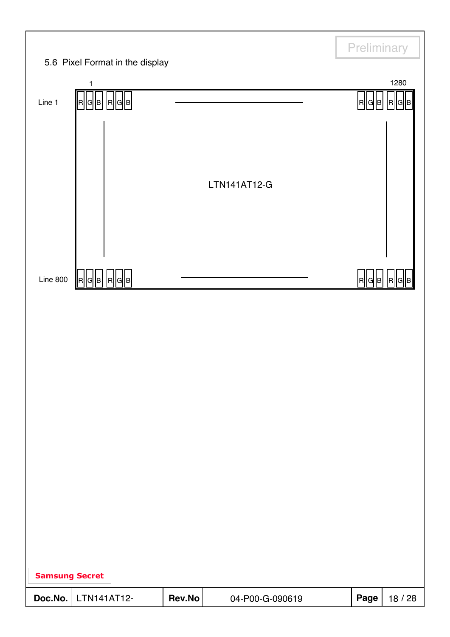|                       |                                 |        |                 | Preliminary |                   |
|-----------------------|---------------------------------|--------|-----------------|-------------|-------------------|
|                       | 5.6 Pixel Format in the display |        |                 |             |                   |
| Line 1                | 1<br>  R  G  B   R  G  B        |        |                 | R  G  B     | 1280<br>R  G<br>B |
|                       |                                 |        |                 |             |                   |
|                       |                                 |        |                 |             |                   |
|                       |                                 |        | LTN141AT12-G    |             |                   |
|                       |                                 |        |                 |             |                   |
|                       |                                 |        |                 |             |                   |
| Line $800$            | G  B   R  G  B <br> R           |        |                 | R  데B       |                   |
|                       |                                 |        |                 |             |                   |
|                       |                                 |        |                 |             |                   |
|                       |                                 |        |                 |             |                   |
|                       |                                 |        |                 |             |                   |
|                       |                                 |        |                 |             |                   |
|                       |                                 |        |                 |             |                   |
|                       |                                 |        |                 |             |                   |
|                       |                                 |        |                 |             |                   |
|                       |                                 |        |                 |             |                   |
|                       |                                 |        |                 |             |                   |
|                       |                                 |        |                 |             |                   |
| <b>Samsung Secret</b> |                                 |        |                 |             |                   |
| Doc.No.               | LTN141AT12-                     | Rev.No | 04-P00-G-090619 | Page        | 18 / 28           |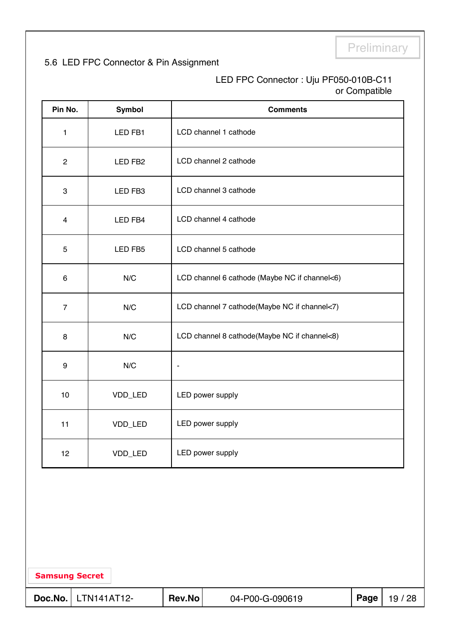### 5.6 LED FPC Connector & Pin Assignment

#### LED FPC Connector : Uju PF050-010B-C11 or Compatible

| Pin No.        |                       | Symbol  |                          | <b>Comments</b>                               |      |         |  |  |  |  |
|----------------|-----------------------|---------|--------------------------|-----------------------------------------------|------|---------|--|--|--|--|
| 1              |                       | LED FB1 |                          | LCD channel 1 cathode                         |      |         |  |  |  |  |
| $\overline{c}$ |                       | LED FB2 |                          | LCD channel 2 cathode                         |      |         |  |  |  |  |
| 3              |                       | LED FB3 |                          | LCD channel 3 cathode                         |      |         |  |  |  |  |
| 4              |                       | LED FB4 |                          | LCD channel 4 cathode                         |      |         |  |  |  |  |
| $\mathbf 5$    |                       | LED FB5 |                          | LCD channel 5 cathode                         |      |         |  |  |  |  |
| 6              |                       | N/C     |                          | LCD channel 6 cathode (Maybe NC if channel<6) |      |         |  |  |  |  |
| $\overline{7}$ |                       | N/C     |                          | LCD channel 7 cathode(Maybe NC if channel<7)  |      |         |  |  |  |  |
| 8              |                       | N/C     |                          | LCD channel 8 cathode(Maybe NC if channel<8)  |      |         |  |  |  |  |
| 9              |                       | N/C     | $\overline{\phantom{a}}$ |                                               |      |         |  |  |  |  |
| 10             |                       | VDD_LED |                          | LED power supply                              |      |         |  |  |  |  |
| 11             |                       | VDD_LED |                          | LED power supply                              |      |         |  |  |  |  |
| 12             |                       | VDD_LED |                          | LED power supply                              |      |         |  |  |  |  |
|                |                       |         |                          |                                               |      |         |  |  |  |  |
|                | <b>Samsung Secret</b> |         |                          |                                               |      |         |  |  |  |  |
| Doc.No.        | LTN141AT12-           |         | Rev.No                   | 04-P00-G-090619                               | Page | 19 / 28 |  |  |  |  |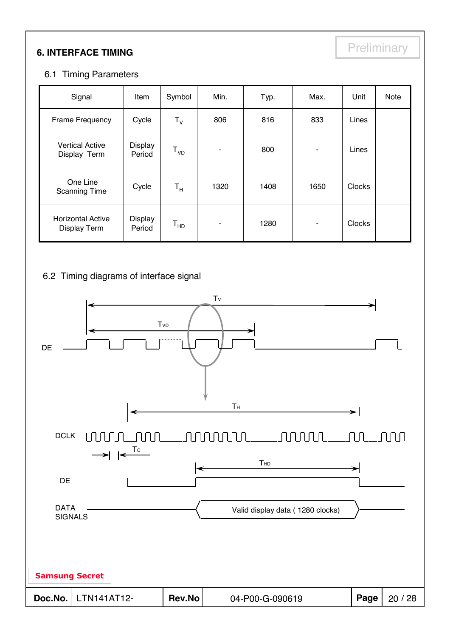# **6. INTERFACE TIMING**

#### 6.1 Timing Parameters

| Signal                                          | Item              | Symbol                  | Min.           | Typ. | Max. | Unit          | Note |
|-------------------------------------------------|-------------------|-------------------------|----------------|------|------|---------------|------|
| <b>Frame Frequency</b>                          | Cycle             | $T_{V}$                 | 806            | 816  | 833  | Lines         |      |
| <b>Vertical Active</b><br>Display Term          | Display<br>Period | $T_{VD}$                | ٠              | 800  | ۰    | Lines         |      |
| One Line<br><b>Scanning Time</b>                | Cycle             | $\mathsf{T}_\mathsf{H}$ | 1320           | 1408 | 1650 | <b>Clocks</b> |      |
| <b>Horizontal Active</b><br><b>Display Term</b> | Display<br>Period | $T_{HD}$                | $\blacksquare$ | 1280 |      | <b>Clocks</b> |      |

#### 6.2 Timing diagrams of interface signal

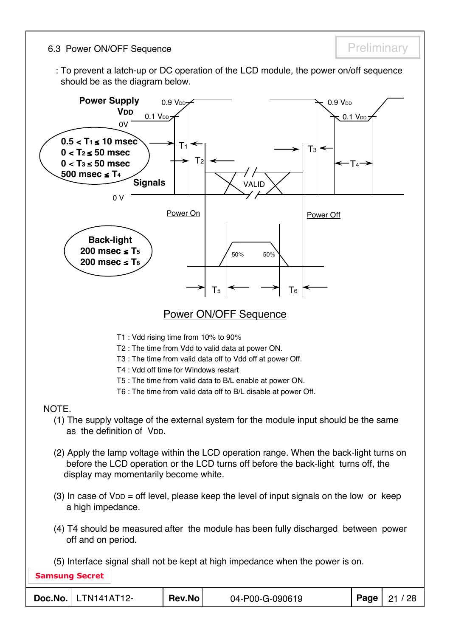6.3 Power ON/OFF Sequence **Preliminary** Preliminary

: To prevent a latch-up or DC operation of the LCD module, the power on/off sequence should be as the diagram below.

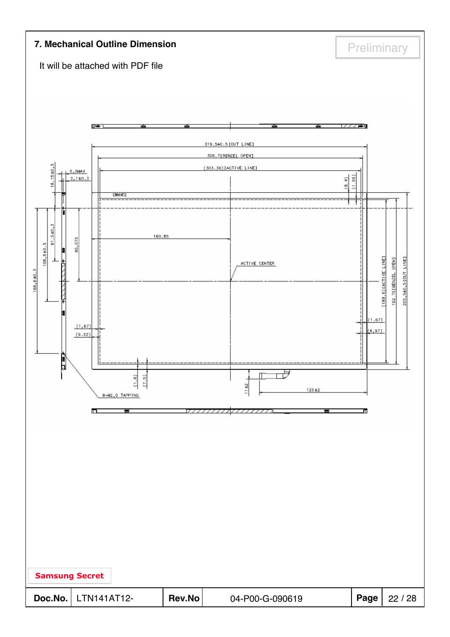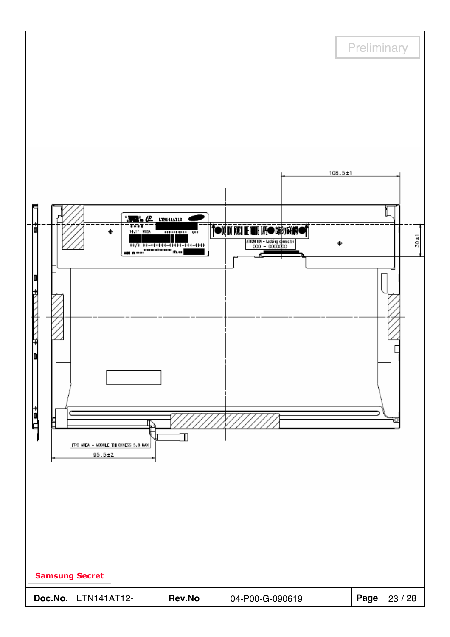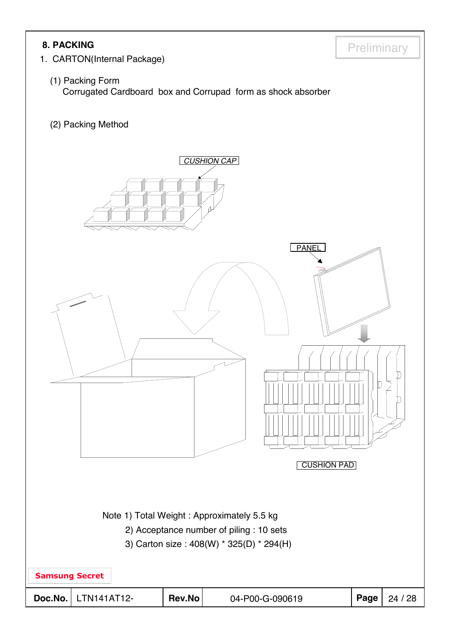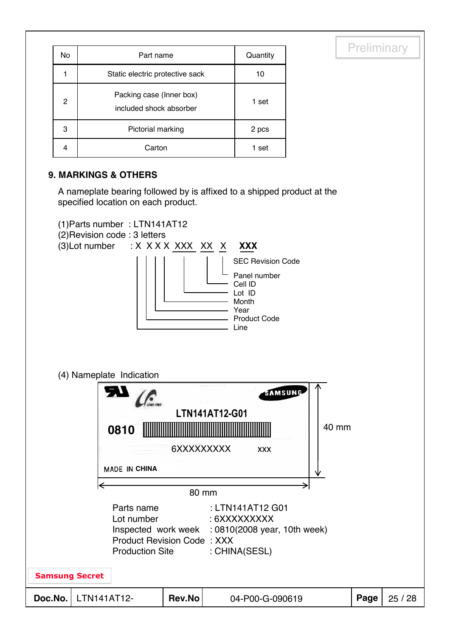| No | Part name                                           | Quantity |
|----|-----------------------------------------------------|----------|
|    | Static electric protective sack                     | 10       |
| 2  | Packing case (Inner box)<br>included shock absorber | 1 set    |
| 3  | Pictorial marking                                   | 2 pcs    |
| 4  | Carton                                              | 1 set    |

#### **9. MARKINGS & OTHERS**

A nameplate bearing followed by is affixed to a shipped product at the specified location on each product.

**Preliminary** 

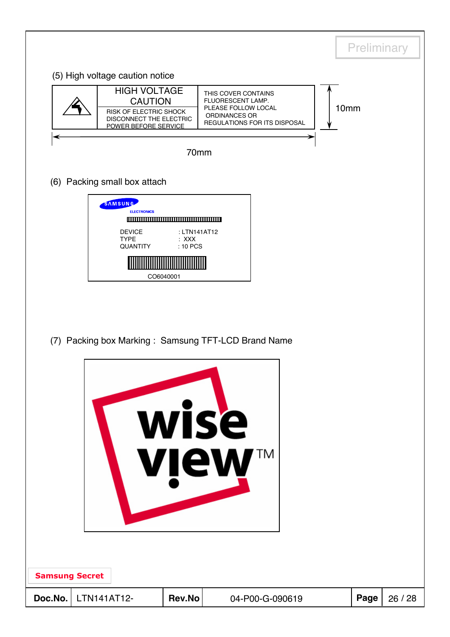|                       |                                                                                                                    |                                     |                                                                                                                  |                  |      | Preliminary |
|-----------------------|--------------------------------------------------------------------------------------------------------------------|-------------------------------------|------------------------------------------------------------------------------------------------------------------|------------------|------|-------------|
|                       | (5) High voltage caution notice                                                                                    |                                     |                                                                                                                  |                  |      |             |
|                       | <b>HIGH VOLTAGE</b><br><b>CAUTION</b><br>RISK OF ELECTRIC SHOCK<br>DISCONNECT THE ELECTRIC<br>POWER BEFORE SERVICE |                                     | THIS COVER CONTAINS<br>FLUORESCENT LAMP.<br>PLEASE FOLLOW LOCAL<br>ORDINANCES OR<br>REGULATIONS FOR ITS DISPOSAL | 10 <sub>mm</sub> |      |             |
|                       |                                                                                                                    | 70mm                                |                                                                                                                  |                  |      |             |
|                       | (6) Packing small box attach                                                                                       |                                     |                                                                                                                  |                  |      |             |
|                       | <b>SAMSUNG</b><br><b>ELECTRONICS</b><br><b>DEVICE</b><br><b>TYPE</b><br>QUANTITY                                   | : LTN141AT12<br>$:$ XXX<br>: 10 PCS |                                                                                                                  |                  |      |             |
|                       |                                                                                                                    | CO6040001                           |                                                                                                                  |                  |      |             |
|                       |                                                                                                                    |                                     | (7) Packing box Marking: Samsung TFT-LCD Brand Name                                                              |                  |      |             |
|                       |                                                                                                                    |                                     |                                                                                                                  |                  |      |             |
|                       |                                                                                                                    |                                     |                                                                                                                  |                  |      |             |
|                       |                                                                                                                    |                                     | wise                                                                                                             |                  |      |             |
|                       |                                                                                                                    |                                     | TΜ                                                                                                               |                  |      |             |
|                       |                                                                                                                    |                                     | <b>view</b>                                                                                                      |                  |      |             |
|                       |                                                                                                                    |                                     |                                                                                                                  |                  |      |             |
|                       |                                                                                                                    |                                     |                                                                                                                  |                  |      |             |
|                       |                                                                                                                    |                                     |                                                                                                                  |                  |      |             |
| <b>Samsung Secret</b> |                                                                                                                    |                                     |                                                                                                                  |                  |      |             |
| Doc.No.               | LTN141AT12-                                                                                                        | Rev.No                              | 04-P00-G-090619                                                                                                  |                  | Page | 26 / 28     |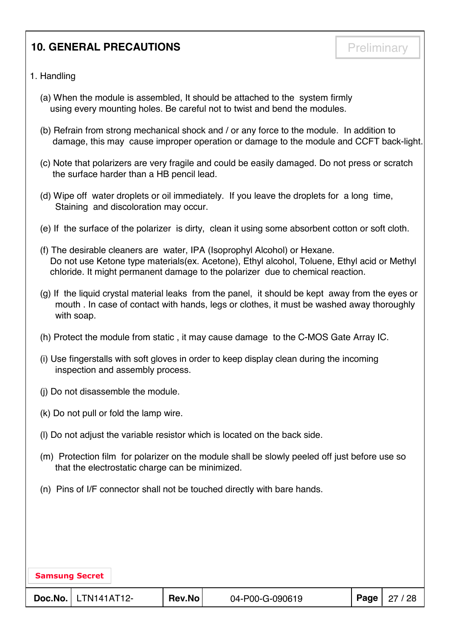# **10. GENERAL PRECAUTIONS Preliminary**

- 1. Handling
	- (a) When the module is assembled, It should be attached to the system firmly using every mounting holes. Be careful not to twist and bend the modules.
	- (b) Refrain from strong mechanical shock and / or any force to the module. In addition to damage, this may cause improper operation or damage to the module and CCFT back-light.
	- (c) Note that polarizers are very fragile and could be easily damaged. Do not press or scratch the surface harder than a HB pencil lead.
	- (d) Wipe off water droplets or oil immediately. If you leave the droplets for a long time, Staining and discoloration may occur.
	- (e) If the surface of the polarizer is dirty, clean it using some absorbent cotton or soft cloth.
	- (f) The desirable cleaners are water, IPA (Isoprophyl Alcohol) or Hexane. Do not use Ketone type materials(ex. Acetone), Ethyl alcohol, Toluene, Ethyl acid or Methyl chloride. It might permanent damage to the polarizer due to chemical reaction.
	- (g) If the liquid crystal material leaks from the panel, it should be kept away from the eyes or mouth . In case of contact with hands, legs or clothes, it must be washed away thoroughly with soap.
	- (h) Protect the module from static , it may cause damage to the C-MOS Gate Array IC.
	- (i) Use fingerstalls with soft gloves in order to keep display clean during the incoming inspection and assembly process.
	- (j) Do not disassemble the module.
	- (k) Do not pull or fold the lamp wire.
	- (l) Do not adjust the variable resistor which is located on the back side.
	- (m) Protection film for polarizer on the module shall be slowly peeled off just before use so that the electrostatic charge can be minimized.
	- (n) Pins of I/F connector shall not be touched directly with bare hands.

| <b>Samsung Secret</b> |                              |        |                 |                       |
|-----------------------|------------------------------|--------|-----------------|-----------------------|
|                       | <b>Doc.No.</b>   LTN141AT12- | Rev.No | 04-P00-G-090619 | <b>Page</b>   27 / 28 |